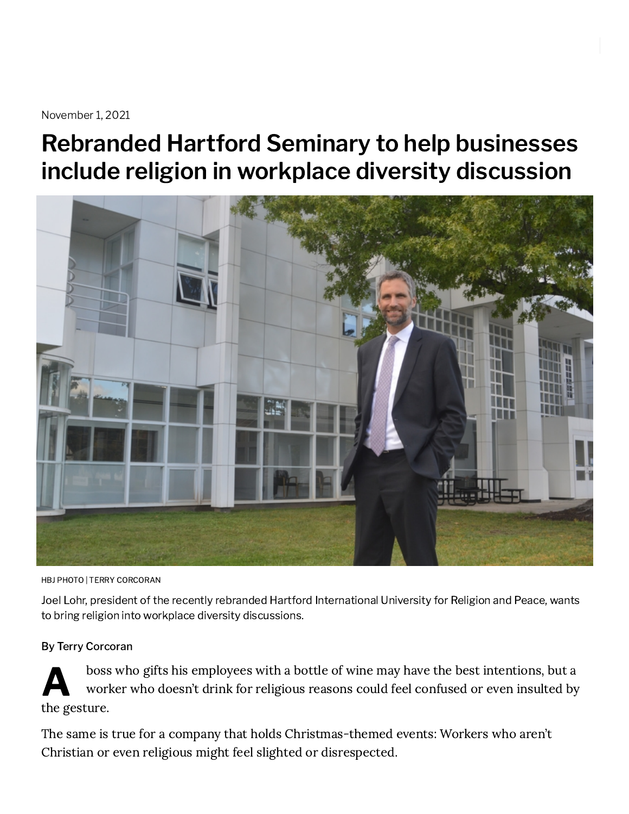November 1, 2021

## Rebranded Hartford Seminary to help businesses include religion in workplace diversity discussion



HBJ PHOTO | TERRY CORCORAN

Joel Lohr, president of the recently rebranded Hartford International University for Religion and Peace, wants to bring religion into workplace diversity discussions.

## By Terry Corcoran

A boss who gifts his employees with a bottle of wine may have the best intentions, but a worker who doesn't drink for religious reasons could feel confused or even insulted by the gesture.

The same is true for a company that holds Christmas-themed events: Workers who aren't Christian or even religious might feel slighted or disrespected.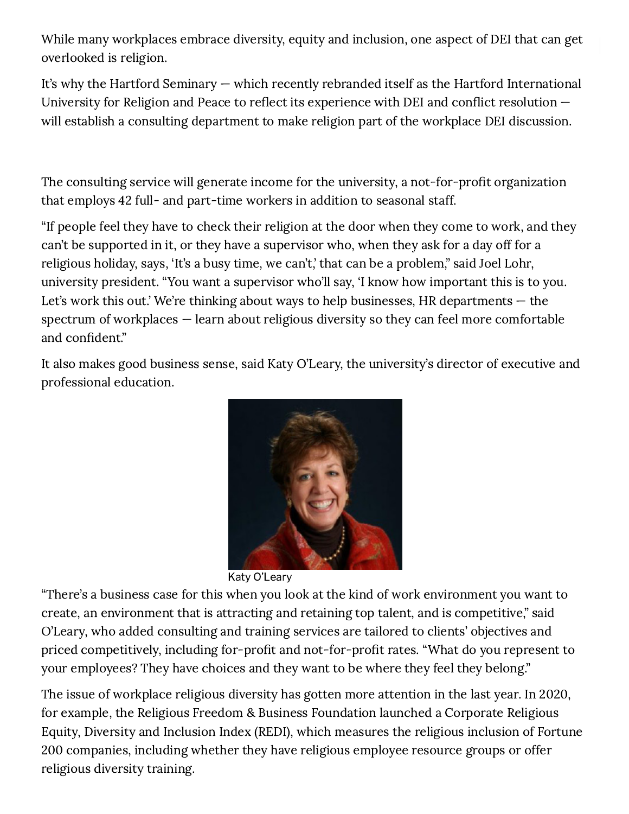[While](https://www.hartfordbusiness.com/) many workplaces embrace diversity, equity and inclusion, one aspect of DEI that can get overlooked is religion.

It's why the Hartford Seminary — which recently rebranded itself as the Hartford International University for Religion and Peace to reflect its experience with DEI and conflict resolution will establish a consulting department to make religion part of the workplace DEI discussion.

The consulting service will generate income for the university, a not-for-profit organization that employs 42 full- and part-time workers in addition to seasonal staff.

"If people feel they have to check their religion at the door when they come to work, and they can't be supported in it, or they have a supervisor who, when they ask for a day off for a religious holiday, says, 'It's a busy time, we can't,' that can be a problem," said Joel Lohr, university president. "You want a supervisor who'll say, 'I know how important this is to you. Let's work this out.' We're thinking about ways to help businesses, HR departments  $-$  the spectrum of workplaces — learn about religious diversity so they can feel more comfortable and confident."

It also makes good business sense, said Katy O'Leary, the university's director of executive and professional education.



Katy O'Leary

"There's a business case for this when you look at the kind of work environment you want to create, an environment that is attracting and retaining top talent, and is competitive," said O'Leary, who added consulting and training services are tailored to clients' objectives and priced competitively, including for-profit and not-for-profit rates. "What do you represent to your employees? They have choices and they want to be where they feel they belong."

The issue of workplace religious diversity has gotten more attention in the last year. In 2020, for example, the Religious Freedom & Business Foundation launched a Corporate Religious Equity, Diversity and Inclusion Index (REDI), which measures the religious inclusion of Fortune 200 companies, including whether they have religious employee resource groups or offer religious diversity training.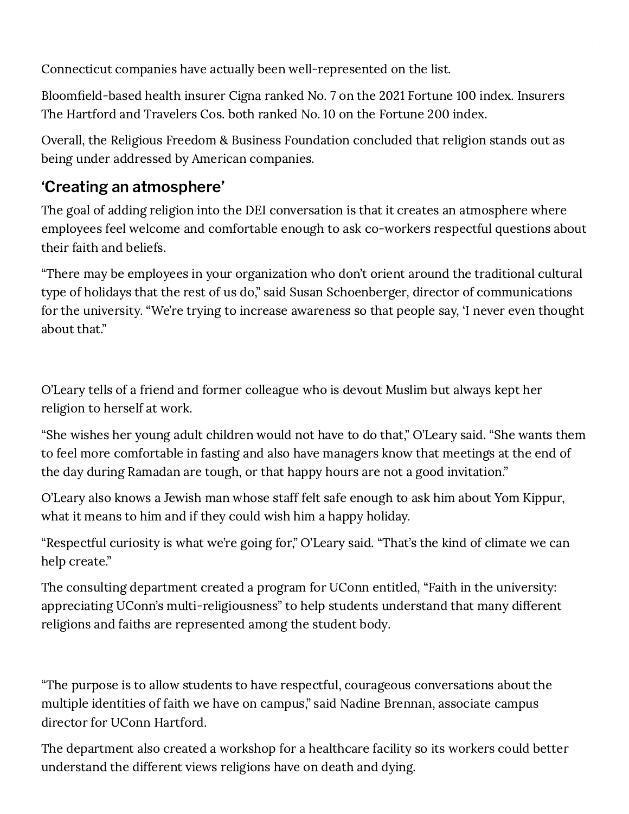Connecticut companies have actually been well-represented on the list.

Bloomfield-based health insurer Cigna ranked No. 7 on the 2021 Fortune 100 index. Insurers The Hartford and Travelers Cos. both ranked No. 10 on the Fortune 200 index.

Overall, the Religious Freedom & Business Foundation concluded that religion stands out as being under addressed by American companies.

## 'Creating an atmosphere'

The goal of adding religion into the DEI conversation is that it creates an atmosphere where employees feel welcome and comfortable enough to ask co-workers respectful questions about their faith and beliefs.

"There may be employees in your organization who don't orient around the traditional cultural type of holidays that the rest of us do," said Susan Schoenberger, director of communications for the university. "We're trying to increase awareness so that people say, 'I never even thought about that."

O'Leary tells of a friend and former colleague who is devout Muslim but always kept her religion to herself at work.

"She wishes her young adult children would not have to do that," O'Leary said. "She wants them to feel more comfortable in fasting and also have managers know that meetings at the end of the day during Ramadan are tough, or that happy hours are not a good invitation."

O'Leary also knows a Jewish man whose staff felt safe enough to ask him about Yom Kippur, what it means to him and if they could wish him a happy holiday.

"Respectful curiosity is what we're going for," O'Leary said. "That's the kind of climate we can help create."

The consulting department created a program for UConn entitled, "Faith in the university: appreciating UConn's multi-religiousness" to help students understand that many different religions and faiths are represented among the student body.

"The purpose is to allow students to have respectful, courageous conversations about the multiple identities of faith we have on campus," said Nadine Brennan, associate campus director for UConn Hartford.

The department also created a workshop for a healthcare facility so its workers could better understand the different views religions have on death and dying.